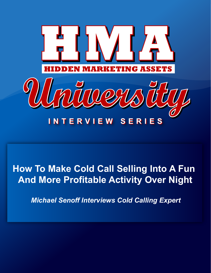

# **How To Make Cold Call Selling Into A Fun And More Profitable Activity Over Night**

*Michael Senoff Interviews Cold Calling Expert*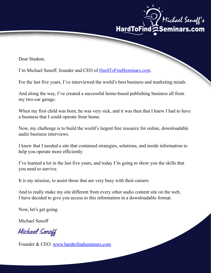

Dear Student,

I'm Michael Senoff, founder and CEO of HardToFindSeminars.com.

For the last five years, I've interviewed the world's best business and marketing minds.

And along the way, I've created a successful home-based publishing business all from my two-car garage.

When my first child was born, he was very sick, and it was then that I knew I had to have a business that I could operate from home.

Now, my challenge is to build the world's largest free resource for online, downloadable audio business interviews.

I knew that I needed a site that contained strategies, solutions, and inside information to help you operate more efficiently

I've learned a lot in the last five years, and today I'm going to show you the skills that you need to survive.

It is my mission, to assist those that are very busy with their careers

And to really make my site different from every other audio content site on the web, I have decided to give you access to this information in a downloadable format.

Now, let's get going.

Michael Senoff

Michael Senoff

Founder & CEO: www.hardtofindseminars.com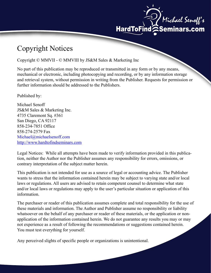

## Copyright Notices

Copyright © MMVII - © MMVIII by JS&M Sales & Marketing Inc

No part of this publication may be reproduced or transmitted in any form or by any means, mechanical or electronic, including photocopying and recording, or by any information storage further information should be addressed to the Publishers. and retrieval system, without permission in writing from the Publisher. Requests for permission or

Published by:

Michael Senoff JS&M Sales & Marketing Inc. 4735 Claremont Sq. #361 San Diego, CA 92117 858-234-7851 Office 858-274-2579 Fax Michael@michaelsenoff.com http://www.hardtofindseminars.com

Legal Notices: While all attempts have been made to verify information provided in this publication, neither the Author nor the Publisher assumes any responsibility for errors, omissions, or contrary interpretation of the subject matter herein.

This publication is not intended for use as a source of legal or accounting advice. The Publisher wants to stress that the information contained herein may be subject to varying state and/or local laws or regulations. All users are advised to retain competent counsel to determine what state and/or local laws or regulations may apply to the user's particular situation or application of this information.

The purchaser or reader of this publication assumes complete and total responsibility for the use of these materials and information. The Author and Publisher assume no responsibility or liability not experience as a result of following the recommendations or suggestions contained herein. whatsoever on the behalf of any purchaser or reader of these materials, or the application or nonapplication of the information contained herein. We do not guarantee any results you may or may You must test everything for yourself.

Any perceived slights of specific people or organizations is unintentional.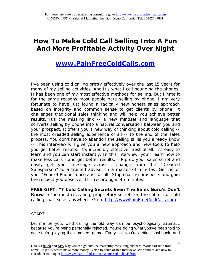## **How To Make Cold Call Selling Into A Fun And More Profitable Activity Over Night**

### **www.PainFreeColdCalls.com**

I've been using cold calling pretty effectively over the last 15 years for many of my selling activities. And It's what I call pounding the phones. It has been one of my most effective methods for selling. But I hate it for the same reasons most people hate selling by phone. I am very fortunate to have just found a radically new honest sales approach based on integrity and common sense to get clients by phone. It challenges traditional sales thinking and will help you achieve better results. It's the missing link -- a new mindset and language that converts selling by phone into a natural conversation between you and your prospect. It offers you a new way of thinking about cold calling the most dreaded selling experience of all -- to the end of the sales process. You don't have to abandon the selling skills you already know -- This interview will give you a new approach and new tools to help you get better results. It's incredibly effective. Best of all, it's easy to learn and you can start instantly. In this interview, you'll learn how to make less calls - and get better results. --Rip up your sales script and easily get your message across-- Change from the "Dreaded Salesperson" to a trusted advisor in a matter of minutes--Get rid of your "Fear of Phone" once and for all--Stop chasing prospects and gain the respect you deserve. This recording is 45 minutes.

**FREE GIFT: "7 Cold Calling Secrets Even The Sales Guru's Don't Know"** (The most revealing, proprietary secrets on the subject of cold calling that exists anywhere. Go to http://wwwPainFreeColdCalls.com

#### START

Let me tell you. Cold calling the old way can be psychologically traumatic because you're being personally rejected. You're doing what you've been told to do. You're playing the numbers game. Every call you're getting pushback, and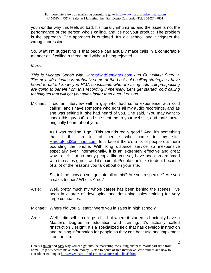you wonder why this feels so bad. It's literally inhumane, and the issue is not the performance of the person who's calling, and it's not your product. The problem is the approach. The approach is outdated. It's old school, and it triggers the wrong impression.

So, what I'm suggesting is that people can actually make calls in a comfortable manner as if calling a friend, and without being rejected.

*Music* 

*This is Michael Senoff with HardtoFindSeminars.com and Consulting Secrets. The next 40 minutes is probably some of the best cold calling strategies I have heard to date. I know you HMA consultants who are using cold call prospecting are going to benefit from this recording immensely. Let's get started, cold calling techniques that will get you sales faster than ever. Let's go.* 

Michael: I did an interview with a guy who had some experience with cold calling, and I have someone who edits all my audio recordings, and as she was editing it, she had heard of you. She said, "You may want to check this guy out", and she sent me to your website, and that's how I originally heard about you.

> As I was reading, I go, "This sounds really good." And, it's something that I think a lot of people who come to my site, HardtoFindSeminars.com, let's face it there's a lot of people out there pounding the phone. With long distance service so inexpensive especially even internationally, it is an extremely effective and great way to sell, but so many people like you say have been programmed with the sales gurus, and it's painful. People don't like to do it because of a lot of the reasons you talk about on your site.

> So, tell me, how do you get into all of this? Are you a speaker? Are you a sales trainer? Who is Arrie?

- Arrie: Well, pretty much my whole career has been behind the scenes. I've been in charge of developing and designing sales training for very large companies.
- Michael: Where did you all start? Were you in sales in high school?
- Arrie: Well, I did sell in college a bit, but where it started is I actually have a Master's Degree in education and training. It's actually called "Instruction Design". It's a specialized field that has develop instruction and training information for people so they can best use and implement it on the job.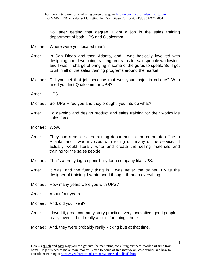So, after getting that degree, I got a job in the sales training department of both UPS and Qualcomm.

- Michael Where were you located then?
- Arrie: In San Diego and then Atlanta, and I was basically involved with designing and developing training programs for salespeople worldwide, and I was in charge of bringing in some of the gurus to speak. So, I got to sit in all of the sales training programs around the market.
- Michael: Did you get that job because that was your major in college? Who hired you first Qualcomm or UPS?
- Arrie: UPS.
- Michael: So, UPS Hired you and they brought you into do what?
- Arrie: To develop and design product and sales training for their worldwide sales force.
- Michael: Wow.
- Arrie: They had a small sales training department at the corporate office in Atlanta, and I was involved with rolling out many of the services. I actually would literally write and create the selling materials and training for the sales people.
- Michael: That's a pretty big responsibility for a company like UPS.
- Arrie: It was, and the funny thing is I was never the trainer. I was the designer of training. I wrote and I thought through everything.
- Michael: How many years were you with UPS?
- Arrie: About four years.
- Michael: And, did you like it?
- Arrie: I loved it, great company, very practical, very innovative, good people. I really loved it. I did really a lot of fun things there.
- Michael: And, they were probably really kicking butt at that time.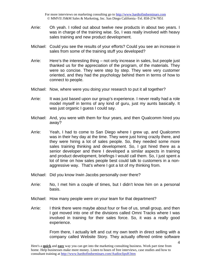- Arrie: Oh yeah. I rolled out about twelve new products in about two years. I was in charge of the training wise. So, I was really involved with heavy sales training and new product development.
- Michael: Could you see the results of your efforts? Could you see an increase in sales from some of the training stuff you developed?
- Arrie: Here's the interesting thing not only increase in sales, but people just thanked us for the appreciation of the program, of the materials. They were so concise. They were step by step. They were very customer oriented, and they had the psychology behind them in terms of how to connect to people.
- Michael: Now, where were you doing your research to put it all together?
- Arrie: It was just based upon our group's experience. I never really had a role model myself in terms of any kind of guru, just my aunts basically. It was just organic I guess I could say.
- Michael: And, you were with them for four years, and then Qualcomm hired you away?
- Arrie: Yeah, I had to come to San Diego where I grew up, and Qualcomm was in their hey day at the time. They were just hiring crazily there, and they were hiring a lot of sales people. So, they needed some more sales training thinking and development. So, I got hired there as a senior developer and there I developed a similar aspects in training and product development, briefings I would call them. So, I just spent a lot of time on how sales people best could talk to customers in a nonaggressive way. That's where I got a lot of my thinking from.
- Michael: Did you know Irwin Jacobs personally over there?
- Arrie: No, I met him a couple of times, but I didn't know him on a personal basis.
- Michael: How many people were on your team for that department?
- Arrie: I think there were maybe about four or five of us, small group, and then I got moved into one of the divisions called Omni Tracks where I was involved in training for their sales force. So, it was a really good experience.

From there, I actually left and cut my own teeth in direct selling with a company called Website Story. They actually offered online software

Here's a **quick** and **easy** way you can get into the marketing consulting business. Work part time from home. Help businesses make more money. Listen to hours of free interviews, case studies and how to consultant training at http://www.hardtofindseminars.com/AudioclipsH.htm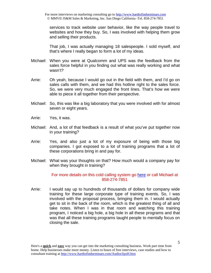services to track website user behavior, like the way people travel to websites and how they buy. So, I was involved with helping them grow and selling their products.

That job, I was actually managing 18 salespeople. I sold myself, and that's where I really began to form a lot of my ideas.

- Michael: When you were at Qualcomm and UPS was the feedback from the sales force helpful in you finding out what was really working and what wasn't?
- Arrie: Oh yeah, because I would go out in the field with them, and I'd go on sales calls with them, and we had this hotline right to the sales force. So, we were very much engaged the front lines. That's how we were able to piece it all together from their perspective.
- Michael: So, this was like a big laboratory that you were involved with for almost seven or eight years.
- Arrie: Yes, it was.
- Michael: And, a lot of that feedback is a result of what you've put together now in your training?
- Arrie: Yes, and also just a lot of my exposure of being with those big companies. I got exposed to a lot of training programs that a lot of these corporations bring in and pay for.
- Michael: What was your thoughts on that? How much would a company pay for when they brought in training?

#### For more details on this cold calling system go here or call Michael at 858-274-7851

Arrie: I would say up to hundreds of thousands of dollars for company wide training for these large corporate type of training events. So, I was involved with the proposal process, bringing them in. I would actually get to sit in the back of the room, which is the greatest thing of all and take notes. When I was in that room and watching this training program, I noticed a big hole, a big hole in all these programs and that was that all these training programs taught people to mentally focus on closing the sale.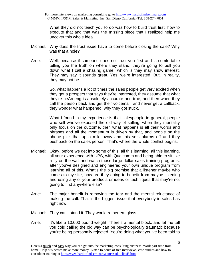What they did not teach you to do was how to build trust first, how to execute that and that was the missing piece that I realized help me uncover this whole idea.

- Michael: Why does the trust issue have to come before closing the sale? Why was that a hole?
- Arrie: Well, because if someone does not trust you first and is comfortable telling you the truth on where they stand, they're going to pull you down what I call a chasing game which is they may show interest. They may say it sounds great. Yes, we're interested. But, in reality, they may not be.

So, what happens a lot of times the sales people get very excited when they get a prospect that says they're interested, they assume that what they're heArrieng is absolutely accurate and true, and then when they call the person back and get their voicemail, and never get a callback, they wonder what happened, why they got stuck.

What I found in my experience is that salespeople in general, people who sell who've exposed the old way of selling, when they mentality only focus on the outcome, then what happens is all their words and phrases and all the momentum is driven by that, and people on the phone pick that up a mile away and this sets alarms off and they pushback on the sales person. That's where the whole conflict begins.

- Michael: Okay, before we get into some of this, all this learning, all this learning, all your experience with UPS, with Qualcomm and being able to sit like a fly on the wall and watch these large dollar sales training programs, after you've designed and engineered your own unique program from learning all of this. What's the big promise that a listener maybe who comes to my site, how are they going to benefit from maybe listening and using any of your products or ideas or techniques that they're not going to find anywhere else?
- Arrie: The major benefit is removing the fear and the mental reluctance of making the call. That is the biggest issue that everybody in sales has right now.
- Michael: They can't stand it. They would rather eat glass.
- Arrie: It's like a 10,000 pound weight. There's a mental block, and let me tell you cold calling the old way can be psychologically traumatic because you're being personally rejected. You're doing what you've been told to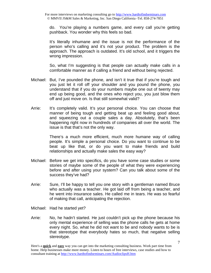do. You're playing a numbers game, and every call you're getting pushback. You wonder why this feels so bad.

It's literally inhumane and the issue is not the performance of the person who's calling and it's not your product. The problem is the approach. The approach is outdated. It's old school, and it triggers the wrong impression.

So, what I'm suggesting is that people can actually make calls in a comfortable manner as if calling a friend and without being rejected.

- Michael: But, I've pounded the phone, and isn't it true that if you're tough and you just let it roll off your shoulder and you pound the phone, you understand that if you do your numbers maybe one out of twenty may end up being good, and the ones who reject you, you just blow them off and just move on. Is that still somewhat valid?
- Arrie: It's completely valid. It's your personal choice. You can choose that manner of being tough and getting beat up and feeling good about, and squeezing out a couple sales a day. Absolutely, that's been happening right now in hundreds of companies all over the world. The issue is that that's not the only way.

There's a much more efficient, much more humane way of calling people. It's simple a personal choice. Do you want to continue to be beat up like that, or do you want to make friends and build relationships and actually make sales the easy way?

- Michael: Before we get into specifics, do you have some case studies or some stories of maybe some of the people of what they were experiencing before and after using your system? Can you talk about some of the success they've had?
- Arrie: Sure, I'll be happy to tell you one story with a gentleman named Bruce who actually was a teacher. He got laid off from being a teacher, and he went into insurance sales. He called me in tears. He was so fearful of making that call, anticipating the rejection.
- Michael: Had he started yet?
- Arrie: No, he hadn't started. He just couldn't pick up the phone because his only mental experience of selling was the phone calls he gets at home every night. So, what he did not want to be and nobody wants to be is that stereotype that everybody hates so much, that negative selling stereotype.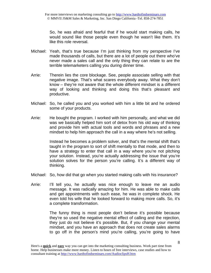So, he was afraid and fearful that if he would start making calls, he would sound like those people even though he wasn't like them. It's like this role reversal.

- Michael: Yeah, that's true because I'm just thinking from my perspective I've made thousands of calls, but there are a lot of people out there who've never made a sales call and the only thing they can relate to are the terrible telemarketers calling you during dinner time.
- Arrie: Therein lies the core blockage. See, people associate selling with that negative image. That's what scares everybody away. What they don't know – they're not aware that the whole different mindset is a different way of looking and thinking and doing this that's pleasant and productive.
- Michael: So, he called you and you worked with him a little bit and he ordered some of your products.
- Arrie: He bought the program. I worked with him personally, and what we did was we basically helped him sort of detox from his old way of thinking and provide him with actual tools and words and phrases and a new mindset to help him approach the call in a way where he's not selling.

Instead he becomes a problem solver, and that's the mental shift that's taught in the program to sort of shift mentally to that mode, and then to have a strategy to enter that call in a way where you're not pitching your solution. Instead, you're actually addressing the issue that you're solution solves for the person you're calling. It's a different way of thinking.

- Michael: So, how did that go when you started making calls with his insurance?
- Arrie: I'll tell you, he actually was nice enough to leave me an audio message. It was radically amazing for him. He was able to make calls and get appointments with such ease, he was in complete shock. He even told his wife that he looked forward to making more calls. So, it's a complete transformation.

The funny thing is most people don't believe it's possible because they're so used the negative mental effect of calling and the rejection, they just do not believe it's possible. But, if you change your mental mindset, and you have an approach that does not create sales alarms to go off in the person's mind you're calling, you're going to have

Here's a **quick** and **easy** way you can get into the marketing consulting business. Work part time from home. Help businesses make more money. Listen to hours of free interviews, case studies and how to consultant training at http://www.hardtofindseminars.com/AudioclipsH.htm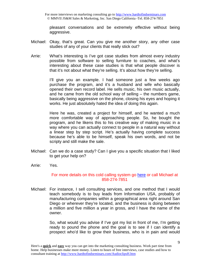For more interviews on marketing consulting go to http://www.hardtofindseminars.com © MMVII JS&M Sales & Marketing, Inc. San Diego California -Tel. 858-274-7851

pleasant conversations and be extremely effective without being aggressive.

- Michael: Okay, that's great. Can you give me another story, any other case studies of any of your clients that really stick out?
- Arrie: What's interesting is I've got case studies from almost every industry possible from software to selling furniture to coaches, and what's interesting about these case studies is that what people discover is that it's not about what they're selling. It's about how they're selling.

I'll give you an example. I had someone just a few weeks ago purchase the program, and it's a husband and wife who basically opened their own record label. He sells music, his own music actually, and he came from the old school way of selling – the numbers game, basically being aggressive on the phone, closing his eyes and hoping it works. He just absolutely hated the idea of doing this again.

Here he was, created a project for himself, and he wanted a much more comfortable way of approaching people. So, he bought the program, and he likens this to his creative way of making music in a way where you can actually connect to people in a natural way without a linear step by step script. He's actually having complete success because he's able to be himself, speak his own words, and not be scripty and still make the sale.

- Michael: Can we do a case study? Can I give you a specific situation that I liked to get your help on?
- Arrie: Yes.

#### For more details on this cold calling system go here or call Michael at 858-274-7851

Michael: For instance, I sell consulting services, and one method that I would teach somebody is to buy leads from Information USA, probably of manufacturing companies within a geographical area right around San Diego or wherever they're located, and the business is doing between a million and five million a year in gross, and I have the name of the owner.

> So, what would you advise if I've got my list in front of me, I'm getting ready to pound the phone and the goal is to see if I can identify a prospect who'd like to grow their business, who is in pain and would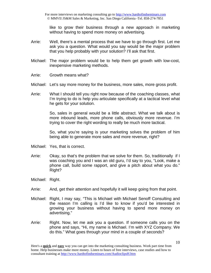like to grow their business through a new approach in marketing without having to spend more money on advertising.

- Arrie: Well, there's a mental process that we have to go through first. Let me ask you a question. What would you say would be the major problem that you help probably with your solution? I'll ask that first.
- Michael: The major problem would be to help them get growth with low-cost, inexpensive marketing methods.
- Arrie: Growth means what?
- Michael: Let's say more money for the business, more sales, more gross profit.
- Arrie: What I should tell you right now because of the coaching classes, what I'm trying to do is help you articulate specifically at a tactical level what he gets for your solution.

So, sales in general would be a little abstract. What we talk about is more inbound leads, more phone calls, obviously more revenue. I'm trying to cover the right wording to really be much more tactical.

So, what you're saying is your marketing solves the problem of him being able to generate more sales and more revenue, right?

- Michael: Yes, that is correct.
- Arrie: Okay, so that's the problem that we solve for them. So, traditionally if I was coaching you and I was an old guru, I'd say to you, "Look, make a phone call, build some rapport, and give a pitch about what you do." Right?
- Michael: Right.
- Arrie: And, get their attention and hopefully it will keep going from that point.
- Michael: Right, I may say, "This is Michael with Michael Senoff Consulting and the reason I'm calling is I'd like to know if you'd be interested in growing your business without having to spend more money on advertising."
- Arrie: Right. Now, let me ask you a question. If someone calls you on the phone and says, "Hi, my name is Michael. I'm with XYZ Company. We do this." What goes through your mind in a couple of seconds?

Here's a **quick** and **easy** way you can get into the marketing consulting business. Work part time from home. Help businesses make more money. Listen to hours of free interviews, case studies and how to consultant training at http://www.hardtofindseminars.com/AudioclipsH.htm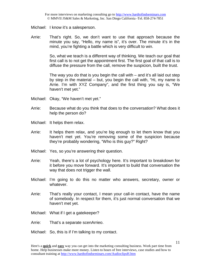Michael: I know it's a salesperson.

Arrie: That's right. So, we don't want to use that approach because the minute you say, "Hello, my name is", it's over. The minute it's in the mind, you're fighting a battle which is very difficult to win.

> So, what we teach is a different way of thinking. We teach our goal that first call is to not get the appointment first. The first goal of that call is to diffuse the pressure from the call, remove the suspicion, built the trust.

> The way you do that is you begin the call with – and it's all laid out step by step in the material – but, you begin the call with, "Hi, my name is Arrie. I'm with XYZ Company", and the first thing you say is, "We haven't met yet."

- Michael: Okay, "We haven't met yet."
- Arrie: Because what do you think that does to the conversation? What does it help the person do?
- Michael: It helps them relax.
- Arrie: It helps them relax, and you're big enough to let them know that you haven't met yet. You're removing some of the suspicion because they're probably wondering, "Who is this guy?" Right?
- Michael: Yes, so you're answering their question.
- Arrie: Yeah, there's a lot of psychology here. It's important to breakdown for it before you move forward. It's important to build that conversation the way that does not trigger the wall.
- Michael: I'm going to do this no matter who answers, secretary, owner or whatever.
- Arrie: That's really your contact, I mean your call-in contact, have the name of somebody. In respect for them, it's just normal conversation that we haven't met yet.
- Michael: What if I get a gatekeeper?
- Arrie: That's a separate scenArrieo.
- Michael: So, this is if I'm talking to my contact.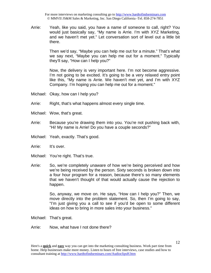Arrie: Yeah, like you said, you have a name of someone to call, right? You would just basically say, "My name is Arrie. I'm with XYZ Marketing, and we haven't met yet." Let conversation sort of level out a little bit there.

> Then we'd say, "Maybe you can help me out for a minute." That's what we say next, "Maybe you can help me out for a moment." Typically they'll say, "How can I help you?"

> Now, the delivery is very important here. I'm not become aggressive. I'm not going to be excited. It's going to be a very relaxed entry point like this, "My name is Arrie. We haven't met yet, and I'm with XYZ Company. I'm hoping you can help me out for a moment."

- Michael: Okay, how can I help you?
- Arrie: Right, that's what happens almost every single time.
- Michael: Wow, that's great.
- Arrie: Because you're drawing them into you. You're not pushing back with, "Hi! My name is Arrie! Do you have a couple seconds?"
- Michael: Yeah, exactly. That's good.
- Arrie: It's over.
- Michael: You're right. That's true.
- Arrie: So, we're completely unaware of how we're being perceived and how we're being received by the person. Sixty seconds is broken down into a four hour program for a reason, because there's so many elements that we haven't thought of that would actually cause the rejection to happen.

So, anyway, we move on. He says, "How can I help you?" Then, we move directly into the problem statement. So, then I'm going to say, "I'm just giving you a call to see if you'd be open to some different ideas on how to bring in more sales into your business."

Michael: That's great.

Arrie: Now, what have I not done there?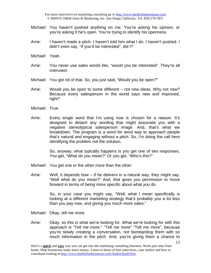- Michael: You haven't pushed anything on me. You're asking his opinion, or you're asking if he's open. You're trying to identify his openness.
- Arrie: I haven't made a pitch. I haven't told him what I do. I haven't pushed. I didn't even say, "If you'd be interested", did I?
- Michael: Yeah.
- Arrie: You never use sales words like, "would you be interested". They're all overused.
- Michael: You got rid of that. So, you just said, "Would you be open?"
- Arrie: Would you be open to some different not new ideas. Why not new? Because every salesperson in the world says new and improved, right?
- Michael: True.
- Arrie: Every single word that I'm using now is chosen for a reason. It's designed to detach any wording that might associate you with a negative stereotypical salesperson image. And, that's what we breakdown. The program is a word for word way to approach people that's natural and engaging without a pitch. So, I'm doing the call here identifying the problem not the solution.

So, anyway, what typically happens is you get one of two responses. You get, "What do you mean?" Or you get, "Who's this?"

- Michael: You get one or the other more than the other.
- Arrie: Well, it depends how if he delivers in a natural way, they might say, "Well what do you mean?" And, that gives you permission to move forward in terms of being more specific about what you do.

So, in your case you might say, "Well, what I mean specifically is looking at a different marketing strategy that's probably you a lot less than you pay now, and giving you much more sales."

- Michael: Okay, tell me more.
- Arrie: Okay, so this is what we're looking for. What we're looking for with this approach is "Tell me more." "Tell me more" "Tell me more", because you're slowly creating a conversation, not bombarding them with so much information in the pitch. And, you're giving them a chance to

Here's a **quick** and **easy** way you can get into the marketing consulting business. Work part time from home. Help businesses make more money. Listen to hours of free interviews, case studies and how to consultant training at http://www.hardtofindseminars.com/AudioclipsH.htm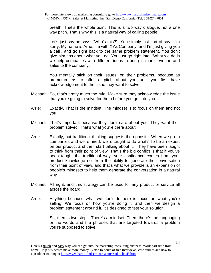breath. That's the whole point. This is a two way dialogue, not a one way pitch. That's why this is a natural way of calling people.

Let's just say he says, "Who's this?" You simply just sort of say, "I'm sorry. My name is Arrie. I'm with XYZ Company, and I'm just giving you a call", and go right back to the same problem statement. You don't give him tips about what you do. You just go right into, "What we do is we help companies with different ideas to bring in more revenue and sales to the company."

You mentally stick on their issues, on their problems, because as premature as to offer a pitch about you until you first have acknowledgement to the issue they want to solve.

- Michael: So, that's pretty much the rule. Make sure they acknowledge the issue that you're going to solve for them before you get into you.
- Arrie: Exactly. That is the mindset. The mindset is to focus on them and not you.
- Michael: That's important because they don't care about you. They want their problem solved. That's what you're there about.
- Arrie: Exactly, but traditional thinking suggests the opposite. When we go to companies and we're hired, we're taught to do what? To be an expert on our product and then start talking about it. They have been taught to think from their point of view. That's the big conflict is that if you've been taught the traditional way, your confidence comes from your product knowledge not from the ability to generate the conversation from their point of view, and that's what we provide is an expansion of people's mindsets to help them generate the conversation in a natural way.
- Michael: All right, and this strategy can be used for any product or service all across the board.
- Arrie: Anything because what we don't do here is focus on what you're selling. We focus on how you're doing it, and then we design a problem statement around it. It's designed to test your solution.

So, there's two steps. There's a mindset. Then, there's the languaging or the words and the phrases that are targeted towards a problem you're supposed to solve.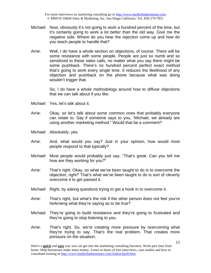- Michael: Now, obviously it's not going to work a hundred percent of the time, but it's certainly going to work a lot better than the old way. Give me the negative side. Where do you hear the rejection come up and how do you teach people to handle that?
- Arrie: Well, I do have a whole section on objections, of course. There will be some resistance with some people. People are just so numb and so sensitized to these sales calls, no matter what you say there might be some pushback. There's no hundred percent perfect exact method that's going to work every single time. It reduces the likelihood of any objection and pushback on the phone because what was doing wouldn't trigger that.

So, I do have a whole methodology around how to diffuse objections that we can talk about if you like.

- Michael: Yes, let's talk about it.
- Arrie: Okay, so let's talk about some common ones that probably everyone can relate to. Say if someone says to you, "Michael, we already are using another marketing method." Would that be a comment?
- Michael: Absolutely, yes.
- Arrie: And, what would you say? Just in your opinion, how would most people respond to that typically?
- Michael: Most people would probably just say, "That's great. Can you tell me how are they working for you?"
- Arrie: That's right. Okay, so what we've been taught to do is to overcome the objection, right? That's what we've been taught to do is sort of cleverly overcome it to get passed it.
- Michael: Right, by asking questions trying to get a hook in to overcome it.
- Arrie: That's right, but what's the risk if the other person does not feel you're heArrieng what they're saying as to be true?
- Michael: They're going to build resistance and they're going to frustrated and they're going to stop listening to you.
- Arrie: That's right. So, we're creating more pressure by overcoming what they're trying to say. That's the real problem. That creates more pressure on the situation.

Here's a **quick** and **easy** way you can get into the marketing consulting business. Work part time from home. Help businesses make more money. Listen to hours of free interviews, case studies and how to consultant training at http://www.hardtofindseminars.com/AudioclipsH.htm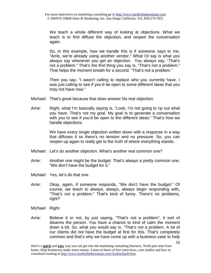We teach a whole different way of looking at objections. What we teach is to first diffuse the objection, and reopen the conversation again.

So, in this example, how we handle this is if someone says to me, "Arrie, we're already using another vendor." What I'd say is what you always say whenever you get an objection. You always say, "That's not a problem." That's the first thing you say is, "That's not a problem." That helps the moment breath for a second. "That's not a problem."

Then you say, "I wasn't calling to replace who you currently have. I was just calling to see if you'd be open to some different ideas that you may not have now."

- Michael: That's great because that does answer his real objection.
- Arrie: Right, what I'm basically saying is, "Look, I'm not going to rip out what you have. That's not my goal. My goal is to generate a conversation with you to see if you'd be open to the different ideas." That's how we handle objections.

We have every single objection written down with a response in a way that diffuses it so there's no tension and no pressure. So, you can reopen up again to really get to the truth of where everything stands.

- Michael: Let's do another objection. What's another real common one?
- Arrie: Another one might be the budget. That's always a pretty common one. "We don't have the budget for it."
- Michael: Yes, let's do that one.
- Arrie: Okay, again, if someone responds, "We don't have the budget." Of course, we teach to always, always, always begin responding with, "That's not a problem." That's kind of funny. There's no problems, right?
- Michael: Right.
- Arrie: Believe it or not, by just saying, "That's not a problem", it sort of disarms the person. You have a chance to kind of calm the moment down a bit. So, what you would say is, "That's not a problem. A lot of our clients did not have the budget at first for this. That's completely common and that's why we have come up with a business case to help

Here's a **quick** and **easy** way you can get into the marketing consulting business. Work part time from home. Help businesses make more money. Listen to hours of free interviews, case studies and how to consultant training at http://www.hardtofindseminars.com/AudioclipsH.htm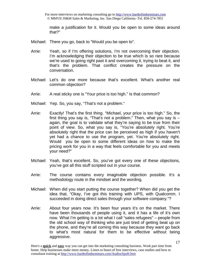For more interviews on marketing consulting go to http://www.hardtofindseminars.com © MMVII JS&M Sales & Marketing, Inc. San Diego California -Tel. 858-274-7851

make a justification for it. Would you be open to some ideas around that?"

- Michael: There you go, back to "Would you be open to".
- Arrie: Yeah, so if I'm offering solutions, I'm not overcoming their objection. I'm acknowledging their objection to be true which is so rare because we're used to going right past it and overcoming it, trying to beat it, and that's the problem. That conflict creates the pressure on the conversation.
- Michael: Let's do one more because that's excellent. What's another real common objection?
- Arrie: A real sticky one is "Your price is too high." Is that common?
- Michael: Yep. So, you say, "That's not a problem."
- Arrie: Exactly! That's the first thing. "Michael, your price is too high." So, the first thing you say is, "That's not a problem." Then, what you say is  $$ again, the goal is to validate what they're saying to be true from their point of view. So, what you say is, "You're absolutely right. You're absolutely right that the price can be perceived as high if you haven't yet had a chance to use the program, yet. You're absolutely right. Would you be open to some different ideas on how to make the pricing work for you in a way that feels comfortable for you and meets your need?"
- Michael: Yeah, that's excellent. So, you've got every one of these objections, you've got all this stuff scripted out in your course.
- Arrie: The course contains every imaginable objection possible. It's a methodology route in the mindset and the wording.
- Michael: When did you start putting the course together? When did you get the idea that, "Okay, I've got this training with UPS, with Qualcomm. I succeeded in doing direct sales through your software company."?
- Arrie: About four years now. It's been four years it's on the market. There have been thousands of people using it, and it has a life of it's own now. What I'm getting is a lot what I call "sales refugees" – people from the old school way of thinking who are just tired of getting beat up on the phone, and they're all coming this way because they want go back to what's most natural for them to be effective without being aggressive.

Here's a **quick** and **easy** way you can get into the marketing consulting business. Work part time from home. Help businesses make more money. Listen to hours of free interviews, case studies and how to consultant training at http://www.hardtofindseminars.com/AudioclipsH.htm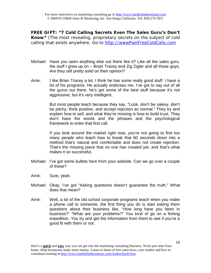**FREE GIFT: "7 Cold Calling Secrets Even The Sales Guru's Don't Know"** (The most revealing, proprietary secrets on the subject of cold calling that exists anywhere. Go to http://wwwPainFreeColdCalls.com

- Michael: Have you seen anything else out there like it? Like all the sales guru, the stuff I grew up on – Brian Tracey and Zig Zigler and all those guys. Are they still pretty solid on their opinion?
- Arrie: I like Brian Tracey a lot. I think he has some really good stuff. I have a lot of his programs. He actually endorses me. I've got to say out of all the gurus out there, he's got some of the best stuff because it's not aggressive, but it's very intelligent.

But most people teach because they say, "Look, don't be salesy, don't be pitchy, think positive, and accept rejection as normal." They try and explain how to sell, and what they're missing is how to build trust. They don't have the words and the phrases and the psychological framework to enter that first call.

If you look around the market right now, you're not going to find too many people who teach how to break that 60 seconds down into a method that's natural and comfortable and does not create rejection. That's the missing piece that no one has created yet, and that's what makes it so successful.

- Michael: I've got some bullets here from your website. Can we go over a couple of these?
- Arrie: Sure, yeah.
- Michael: Okay, I've got "Asking questions doesn't guarantee the truth." What does that mean?
- Arrie: Well, a lot of the old school corporate programs teach when you make a phone call to someone, the first thing you do is start asking them questions about their business like, "How long have you been in business?" "What are your problems?" You kind of go on a fishing expedition. You try and get the information from them to see if you're a good fit with them or not.

Here's a **quick** and **easy** way you can get into the marketing consulting business. Work part time from home. Help businesses make more money. Listen to hours of free interviews, case studies and how to consultant training at http://www.hardtofindseminars.com/AudioclipsH.htm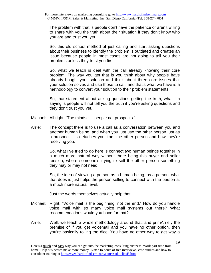The problem with that is people don't have the patience or aren't willing to share with you the truth about their situation if they don't know who you are and trust you yet.

So, this old school method of just calling and start asking questions about their business to identify the problem is outdated and creates an issue because people in most cases are not going to tell you their problems unless they trust you first.

So, what we teach is deal with the call already knowing their core problem. The way you get that is you think about why people have already bought your solution and think about three core issues that your solution solves and use those to call, and that's what we have is a methodology to convert your solution to their problem statements.

So, that statement about asking questions getting the truth, what I'm saying is people will not tell you the truth if you're asking questions and they don't trust you yet.

- Michael: All right, "The mindset people not prospects."
- Arrie: The concept there is to use a call as a conversation between you and another human being, and when you just use the other person just as a prospect, it's detaches you from the other person and how they're receiving you.

So, what I've tried to do here is connect two human beings together in a much more natural way without there being this buyer and seller tension, where someone's trying to sell the other person something they may or may not need.

So, the idea of viewing a person as a human being, as a person, what that does is just helps the person selling to connect with the person at a much more natural level.

Just the words themselves actually help that.

- Michael: Right, "Voice mail is the beginning, not the end." How do you handle voice mail with so many voice mail systems out there? What recommendations would you have for that?
- Arrie: Well, we teach a whole methodology around that, and primArriely the premise of if you get voicemail and you have no other option, then you're basically rolling the dice. You have no other way to get way a

Here's a **quick** and **easy** way you can get into the marketing consulting business. Work part time from home. Help businesses make more money. Listen to hours of free interviews, case studies and how to consultant training at http://www.hardtofindseminars.com/AudioclipsH.htm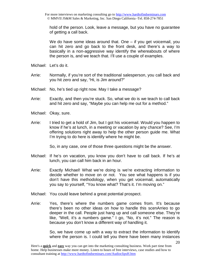hold of the person. Look, leave a message, but you have no guarantee of getting a call back.

We do have some ideas around that. One – if you get voicemail, you can hit zero and go back to the front desk, and there's a way to basically in a non-aggressive way identify the whereabouts of where the person is, and we teach that. I'll use a couple of examples.

- Michael: Let's do it.
- Arrie: Normally, if you're sort of the traditional salesperson, you call back and you hit zero and say, "Hi, is Jim around?"
- Michael: No, he's tied up right now. May I take a message?
- Arrie: Exactly, and then you're stuck. So, what we do is we teach to call back and hit zero and say, "Maybe you can help me out for a method."
- Michael: Okay, sure.
- Arrie: I tried to get a hold of Jim, but I got his voicemail. Would you happen to know if he's at lunch, in a meeting or vacation by any chance? See, I'm offering solutions right away to help the other person guide me. What I'm trying to do here is identify where he might be.

So, in any case, one of those three questions might be the answer.

- Michael: If he's on vacation, you know you don't have to call back. If he's at lunch, you can call him back in an hour.
- Arrie: Exactly Michael! What we're doing is we're extracting information to decide whether to move on or not. You see what happens is if you don't have this methodology, when you get voicemail, automatically you say to yourself, "You know what? That's it. I'm moving on."
- Michael: You could leave behind a great potential prospect.
- Arrie: Yes, there's where the numbers game comes from. It's because there's been no other ideas on how to handle this scenArrieo to go deeper in the call. People just hang up and call someone else. They're like, "Well, it's a numbers game." I go, "No, it's not." The reason is because you don't know a different way of handling it.

So, we have come up with a way to extract the information to identify where the person is. I could tell you there have been many instances

Here's a **quick** and **easy** way you can get into the marketing consulting business. Work part time from home. Help businesses make more money. Listen to hours of free interviews, case studies and how to consultant training at http://www.hardtofindseminars.com/AudioclipsH.htm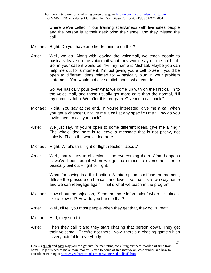where we've called in our training scenArrieos with live sales people and the person is at their desk tying their shoe, and they missed the call.

- Michael: Right. Do you have another technique on that?
- Arrie: Well, we do. Along with leaving the voicemail, we teach people to basically leave on the voicemail what they would say on the cold call. So, in your case it would be, "Hi, my name is Michael. Maybe you can help me out for a moment. I'm just giving you a call to see if you'd be open to different ideas related to" – basically plug in your problem statement. You would not give a pitch about what you do.

So, we basically pour over what we come up with on the first call in to the voice mail, and those usually get more calls than the normal, "Hi my name is John. We offer this program. Give me a call back."

- Michael: Right. You say at the end, "If you're interested, give me a call when you get a chance" Or "give me a call at any specific time." How do you invite them to call you back?
- Arrie: We just say, "If you're open to some different ideas, give me a ring." The whole idea here is to leave a message that is not pitchy, not salesly. That's the whole idea here.
- Michael: Right. What's this "fight or flight reaction" about?
- Arrie: Well, that relates to objections, and overcoming them. What happens is we've been taught when we get resistance to overcome it or to basically bail out – fight or flight.

What I'm saying is a third option. A third option is diffuse the moment, diffuse the pressure on the call, and level it so that it's a two way battle and we can reengage again. That's what we teach in the program.

- Michael: How about the objection, "Send me more information" where it's almost like a blow-off? How do you handle that?
- Arrie: Well, I'll tell you most people when they get that, they go, "Great".
- Michael: And, they send it.
- Arrie: Then they call it and they start chasing that person down. They get their voicemail. They're not there. Now, there's a chasing game which is very painful for everybody.

Here's a **quick** and **easy** way you can get into the marketing consulting business. Work part time from home. Help businesses make more money. Listen to hours of free interviews, case studies and how to consultant training at http://www.hardtofindseminars.com/AudioclipsH.htm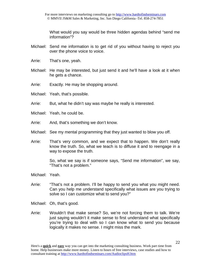What would you say would be three hidden agendas behind "send me information"?

- Michael: Send me information is to get rid of you without having to reject you over the phone voice to voice.
- Arrie: That's one, yeah.
- Michael: He may be interested, but just send it and he'll have a look at it when he gets a chance.
- Arrie: Exactly. He may be shopping around.
- Michael: Yeah, that's possible.
- Arrie: But, what he didn't say was maybe he really is interested.
- Michael: Yeah, he could be.
- Arrie: And, that's something we don't know.
- Michael: See my mental programming that they just wanted to blow you off.
- Arrie: That's very common, and we expect that to happen. We don't really know the truth. So, what we teach is to diffuse it and to reengage in a way to expose the truth.

So, what we say is if someone says, "Send me information", we say, "That's not a problem."

- Michael: Yeah.
- Arrie: "That's not a problem. I'll be happy to send you what you might need. Can you help me understand specifically what issues are you trying to solve so I can customize what to send you?"
- Michael: Oh, that's good.
- Arrie: Wouldn't that make sense? So, we're not forcing them to talk. We're just saying wouldn't it make sense to first understand what specifically you're trying to deal with so I can know what to send you because logically it makes no sense. I might miss the mark.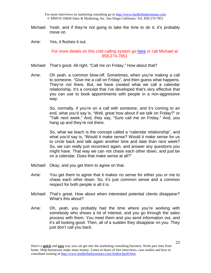For more interviews on marketing consulting go to http://www.hardtofindseminars.com © MMVII JS&M Sales & Marketing, Inc. San Diego California -Tel. 858-274-7851

- Michael: Yeah, and if they're not going to take the time to do it, it's probably move on.
- Arrie: Yes, it flushes it out.

#### For more details on this cold calling system go here or call Michael at 858-274-7851

- Michael: That's good. All right. "Call me on Friday." How about that?
- Arrie: Oh yeah, a common blow-off. Sometimes, when you're making a call to someone, "Give me a call on Friday", and then guess what happens. They're not there. But, we have created what we call a calendar relationship. It's a concept that I've developed that's very effective that you can use to book appointments with people in a non-aggressive way.

So, normally, if you're on a call with someone, and it's coming to an end, what you'd say is, "Well, great how about if we talk on Friday?" or "Talk next week." And, they say, "Sure call me on Friday." And, you hang up and they're not there.

So, what we teach is the concept called a "calendar relationship", and what you'd say is, "Would it make sense? Would it make sense for us to circle back and talk again another time and date than next week? So, we can really just reconnect again, and answer any questions you might have. That way we can not chase each other down, and just be on a calendar. Does that make sense at all?"

- Michael: Okay, and you get them to agree on that.
- Arrie: You get them to agree that it makes no sense for either you or me to chase each other down. So, it's just common sense and a common respect for both people is all it is.
- Michael: That's great. How about when interested potential clients disappear? What's this about?
- Arrie: Oh, yeah, you probably had the time where you're working with somebody who shows a lot of interest, and you go through the sales process with them. You meet them and you send information out, and it's all looking good. Then, all of a sudden they disappear on you. They just don't call you back.

Here's a **quick** and **easy** way you can get into the marketing consulting business. Work part time from home. Help businesses make more money. Listen to hours of free interviews, case studies and how to consultant training at http://www.hardtofindseminars.com/AudioclipsH.htm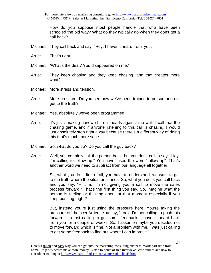For more interviews on marketing consulting go to http://www.hardtofindseminars.com © MMVII JS&M Sales & Marketing, Inc. San Diego California -Tel. 858-274-7851

How do you suppose most people handle that who have been schooled the old way? What do they typically do when they don't get a call back?

- Michael: They call back and say, "Hey, I haven't heard from you."
- Arrie: That's right.
- Michael: "What's the deal? You disappeared on me."
- Arrie: They keep chasing and they keep chasing, and that creates more what?
- Michael: More stress and tension.
- Arrie: More pressure. Do you see how we've been trained to pursue and not get to the truth?
- Michael: Yes, absolutely we've been programmed.
- Arrie: It's just amazing how we hit our heads against the wall. I call that the chasing game, and if anyone listening to this call is chasing, I would just absolutely stop right away because there's a different way of doing this that's much more sane.
- Michael: So, what do you do? Do you call the guy back?
- Arrie: Well, you certainly call the person back, but you don't call to say, "Hey, I'm calling to follow up." You never used the word "follow up". That's another word we need to subtract from our language all together.

So, what you do is first of all, you have to understand, we want to get to the truth where the situation stands. So, what you do is you call back and you say, "Hi Jim. I'm not giving you a call to move the sales process forward." That's the first thing you say. So, imagine what the person is feeling or thinking about at that moment especially if you keep pushing, right?

But, instead you're just using the pressure here. You're taking the pressure off the scenArrieo. You say, "Look, I'm not calling to push this forward. I'm just calling to get some feedback. I haven't heard back from you for a couple of weeks. So, I assume maybe you decided not to move forward which is fine. Not a problem with me. I was just calling to get some feedback to find out where I can improve."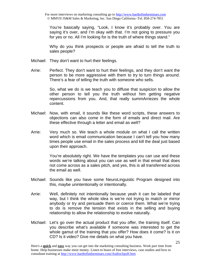You're basically saying, "Look, I know it's probably over. You are saying it's over, and I'm okay with that. I'm not going to pressure you for yes or no. All I'm looking for is the truth of where things stand."

Why do you think prospects or people are afraid to tell the truth to sales people?

- Michael: They don't want to hurt their feelings.
- Arrie: Perfect. They don't want to hurt their feelings, and they don't want the person to be more aggressive with them to try to turn things around. There's a fear of telling the truth with someone who sells.

So, what we do is we teach you to diffuse that suspicion to allow the other person to tell you the truth without him getting negative repercussions from you. And, that really summArriezes the whole content.

- Michael: Now, with email, it sounds like these word scripts, these answers to objections can also come in the form of emails and direct mail. Are these effective through a letter and email as well?
- Arrie: Very much so. We teach a whole module on what I call the written word which is email communication because I can't tell you how many times people use email in the sales process and kill the deal just based upon their approach.

You're absolutely right. We have the templates you can use and these words we're talking about you can use as well in that email that does not come across as a sales pitch, and yes, this is all transferred across the email as well.

- Michael: Sounds like you have some NeuroLinguistic Program designed into this, maybe unintentionally or intentionally.
- Arrie: Well, definitely not intentionally because yeah it can be labeled that way, but I think the whole idea is we're not trying to match or mirror anybody or try and persuade them or coerce them. What we're trying to do is remove the tension that exists in the selling and buying relationship to allow the relationship to evolve naturally.
- Michael: Let's go over the actual product that you offer, the training itself. Can you describe what's available if someone was interested to get the whole gamut of the training that you offer? How does it come? Is it on CD? Is it video? Give me details on what you have.

Here's a **quick** and **easy** way you can get into the marketing consulting business. Work part time from home. Help businesses make more money. Listen to hours of free interviews, case studies and how to consultant training at http://www.hardtofindseminars.com/AudioclipsH.htm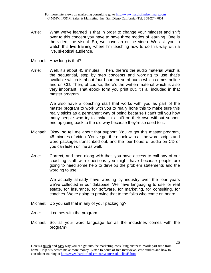- Arrie: What we've learned is that in order to change your mindset and shift over to this concept you have to have three modes of learning. One is the video, the visual. So, we have an online video. We ask you to watch this live training where I'm teaching how to do this way with a live, skeptical audience.
- Michael: How long is that?
- Arrie: Well, it's about 45 minutes. Then, there's the audio material which is the sequential, step by step concepts and wording to use that's available which is about four hours or so of audio which comes online and on CD. Then, of course, there's the written material which is also very important. That ebook form you print out, it's all included in that master program.

We also have a coaching staff that works with you as part of the master program to work with you to really hone this to make sure this really sticks as a permanent way of being because I can't tell you how many people who try to make this shift on their own without support end up going back to the old way because they're so used to it.

- Michael: Okay, so tell me about that support. You've got this master program, 45 minutes of video. You've got the ebook with all the word scripts and word packages transcribed out, and the four hours of audio on CD or you can listen online as well.
- Arrie: Correct, and then along with that, you have access to call any of our coaching staff with questions you might have because people are going to need some help to develop the problem statements and the wording to use.

We actually already have wording by industry over the four years we've collected in our database. We have languaging to use for real estate, for insurance, for software, for marketing, for consulting, for coaches. We're going to provide that to the folks who come on board.

- Michael: Do you sell that in any of your packaging?
- Arrie: It comes with the program.
- Michael: So, all your word language for all the industries comes with the program?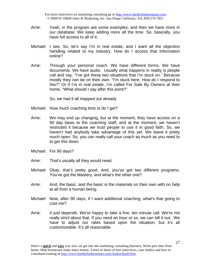For more interviews on marketing consulting go to http://www.hardtofindseminars.com © MMVII JS&M Sales & Marketing, Inc. San Diego California -Tel. 858-274-7851

- Arrie: Yeah, in the program are some examples, and then we have more in our database. We keep adding more all the time. So, basically, you have full access to all of it.
- Michael: I see. So, let's say I'm in real estate, and I want all the objection handling related to my industry. How do I access that information online?
- Arrie: Through your personal coach. We have different forms. We have documents. We have audio. Usually what happens in reality is people call and say, "I've got these two situations that I'm stuck on." Because mostly they can be on their own. "I'm stuck here. How do I respond to this?" Or if I'm in real estate, I'm called For Sale By Owners at their home, "What should I say after this point?"

So, we had it all mapped out already.

- Michael: How much coaching time to do I get?
- Arrie: We may end up changing, but at the moment, they have access on a 90 day basis to the coaching staff, and at the moment, we haven't restricted it because we trust people to use it in good faith. So, we haven't had anybody take advantage of this yet. We leave it pretty much open. So, you can really call your coach as much as you need to to get this down.
- Michael: For 90 days?
- Arrie: That's usually all they would need.
- Michael: Okay, that's pretty good. And, you've got two different programs. You've got the Mastery, and what's the other one?
- Arrie: And, the basic, and the basic is the materials on their own with no help at all from a human being.
- Michael: Now, after 90 days, if I want additional coaching, what's that going to cost me?
- Arrie: It just depends. We're happy to take a five, ten minute call. We're not really strict about that. If you need an hour or so, we can bill it out. We have to adjust our rates based upon the situation, but it's all customizeable. It's all reasonable.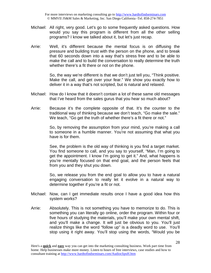- Michael: All right, very good. Let's go to some frequently asked questions. How would you say this program is different from all the other selling programs? I know we talked about it, but let's just recap.
- Arrie: Well, it's different because the mental focus is on diffusing the pressure and building trust with the person on the phone, and to break that 60 seconds down into a way that's stress free and to be able to make the call and to build the conversation to really determine the truth whether there's a fit there or not on the phone.

So, the way we're different is that we don't just tell you, "Think positive. Make the call, and get over your fear." We show you exactly how to deliver it in a way that's not scripted, but is natural and relaxed.

- Michael: How do I know that it doesn't contain a lot of these same old messages that I've heard from the sales gurus that you hear so much about?
- Arrie: Because it's the complete opposite of that. It's the counter to the traditional way of thinking because we don't teach, "Go make the sale." We teach, "Go get the truth of whether there's a fit there or not."

So, by removing the assumption from your mind, you're making a call to someone in a humble manner. You're not assuming that what you have is for them.

See, the problem is the old way of thinking is you find a target market. You find someone to call, and you say to yourself, "Man, I'm going to get the appointment. I know I'm going to get it." And, what happens is you're mentally focused on that end goal, and the person feels that from you and they shut you down.

So, we release you from the end goal to allow you to have a natural engaging conversation to really let it evolve in a natural way to determine together if you're a fit or not.

- Michael: Now, can I get immediate results once I have a good idea how this system works?
- Arrie: Absolutely. This is not something you have to memorize to do. This is something you can literally go online, order the program. Within four or five hours of studying the materials, you'll make your own mental shift, and you'll make a change. It will just be obvious to you. You'll just realize things like the word "follow up" is a deadly word to use. You'll stop using it right away. You'll stop using the words, "Would you be

Here's a **quick** and **easy** way you can get into the marketing consulting business. Work part time from home. Help businesses make more money. Listen to hours of free interviews, case studies and how to consultant training at http://www.hardtofindseminars.com/AudioclipsH.htm